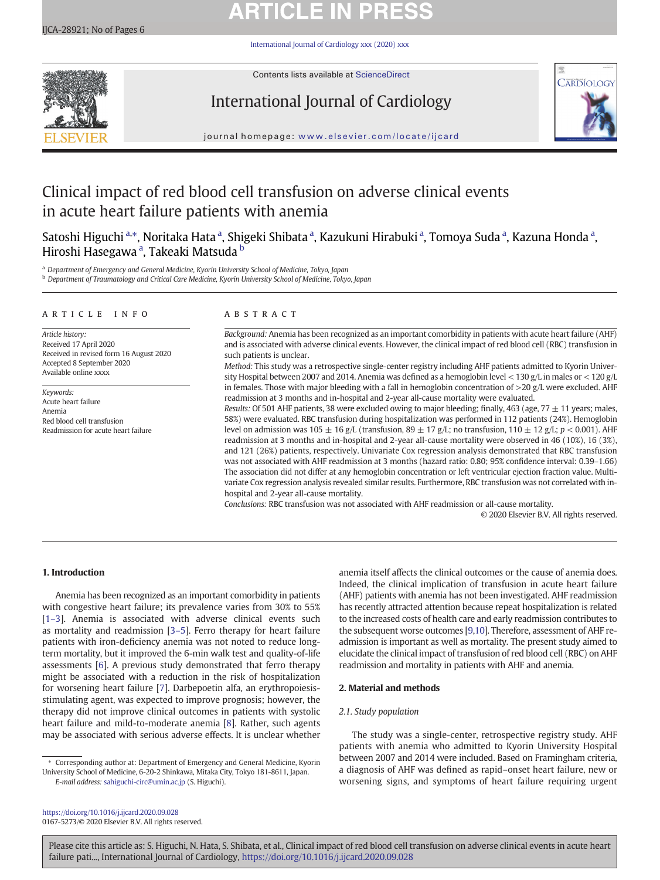# **ARTICLE IN PRESS**

[International Journal of Cardiology xxx \(2020\) xxx](https://doi.org/10.1016/j.ijcard.2020.09.028)



Contents lists available at [ScienceDirect](http://www.sciencedirect.com/science/journal/)

# International Journal of Cardiology



journal homepage: <www.elsevier.com/locate/ijcard>

# Clinical impact of red blood cell transfusion on adverse clinical events in acute heart failure patients with anemia

Satoshi Higuchi <sup>a,</sup>\*, Noritaka Hata <sup>a</sup>, Shigeki Shibata <sup>a</sup>, Kazukuni Hirabuki <sup>a</sup>, Tomoya Suda <sup>a</sup>, Kazuna Honda <sup>a</sup>, Hiroshi Hasegawa <sup>a</sup>, Takeaki Matsuda <sup>b</sup>

Department of Emergency and General Medicine, Kyorin University School of Medicine, Tokyo, Japan <sup>b</sup> Department of Traumatology and Critical Care Medicine, Kyorin University School of Medicine, Tokyo, Japan

### article info abstract

Article history: Received 17 April 2020 Received in revised form 16 August 2020 Accepted 8 September 2020 Available online xxxx

Keywords: Acute heart failure Anemia Red blood cell transfusion Readmission for acute heart failure

Background: Anemia has been recognized as an important comorbidity in patients with acute heart failure (AHF) and is associated with adverse clinical events. However, the clinical impact of red blood cell (RBC) transfusion in such patients is unclear.

Method: This study was a retrospective single-center registry including AHF patients admitted to Kyorin University Hospital between 2007 and 2014. Anemia was defined as a hemoglobin level  $<$  130 g/L in males or  $<$  120 g/L in females. Those with major bleeding with a fall in hemoglobin concentration of  $>$ 20 g/L were excluded. AHF readmission at 3 months and in-hospital and 2-year all-cause mortality were evaluated.

Results: Of 501 AHF patients, 38 were excluded owing to major bleeding; finally, 463 (age, 77  $\pm$  11 years; males, 58%) were evaluated. RBC transfusion during hospitalization was performed in 112 patients (24%). Hemoglobin level on admission was  $105 \pm 16$  g/L (transfusion,  $89 \pm 17$  g/L; no transfusion,  $110 \pm 12$  g/L;  $p < 0.001$ ). AHF readmission at 3 months and in-hospital and 2-year all-cause mortality were observed in 46 (10%), 16 (3%), and 121 (26%) patients, respectively. Univariate Cox regression analysis demonstrated that RBC transfusion was not associated with AHF readmission at 3 months (hazard ratio: 0.80; 95% confidence interval: 0.39–1.66) The association did not differ at any hemoglobin concentration or left ventricular ejection fraction value. Multivariate Cox regression analysis revealed similar results. Furthermore, RBC transfusion was not correlated with inhospital and 2-year all-cause mortality.

Conclusions: RBC transfusion was not associated with AHF readmission or all-cause mortality.

© 2020 Elsevier B.V. All rights reserved.

# 1. Introduction

Anemia has been recognized as an important comorbidity in patients with congestive heart failure; its prevalence varies from 30% to 55% [1–[3\]](#page-4-0). Anemia is associated with adverse clinical events such as mortality and readmission [3–[5\]](#page-4-0). Ferro therapy for heart failure patients with iron-deficiency anemia was not noted to reduce longterm mortality, but it improved the 6-min walk test and quality-of-life assessments [[6\]](#page-4-0). A previous study demonstrated that ferro therapy might be associated with a reduction in the risk of hospitalization for worsening heart failure [\[7\]](#page-4-0). Darbepoetin alfa, an erythropoiesisstimulating agent, was expected to improve prognosis; however, the therapy did not improve clinical outcomes in patients with systolic heart failure and mild-to-moderate anemia [\[8](#page-4-0)]. Rather, such agents may be associated with serious adverse effects. It is unclear whether

⁎ Corresponding author at: Department of Emergency and General Medicine, Kyorin University School of Medicine, 6-20-2 Shinkawa, Mitaka City, Tokyo 181-8611, Japan. E-mail address: [sahiguchi-circ@umin.ac.jp](mailto:sahiguchi-circ@umin.ac.jp) (S. Higuchi).

anemia itself affects the clinical outcomes or the cause of anemia does. Indeed, the clinical implication of transfusion in acute heart failure (AHF) patients with anemia has not been investigated. AHF readmission has recently attracted attention because repeat hospitalization is related to the increased costs of health care and early readmission contributes to the subsequent worse outcomes [\[9,10](#page-4-0)]. Therefore, assessment of AHF readmission is important as well as mortality. The present study aimed to elucidate the clinical impact of transfusion of red blood cell (RBC) on AHF readmission and mortality in patients with AHF and anemia.

### 2. Material and methods

# 2.1. Study population

The study was a single-center, retrospective registry study. AHF patients with anemia who admitted to Kyorin University Hospital between 2007 and 2014 were included. Based on Framingham criteria, a diagnosis of AHF was defined as rapid–onset heart failure, new or worsening signs, and symptoms of heart failure requiring urgent

<https://doi.org/10.1016/j.ijcard.2020.09.028> 0167-5273/© 2020 Elsevier B.V. All rights reserved.

Please cite this article as: S. Higuchi, N. Hata, S. Shibata, et al., Clinical impact of red blood cell transfusion on adverse clinical events in acute heart failure pati..., International Journal of Cardiology, <https://doi.org/10.1016/j.ijcard.2020.09.028>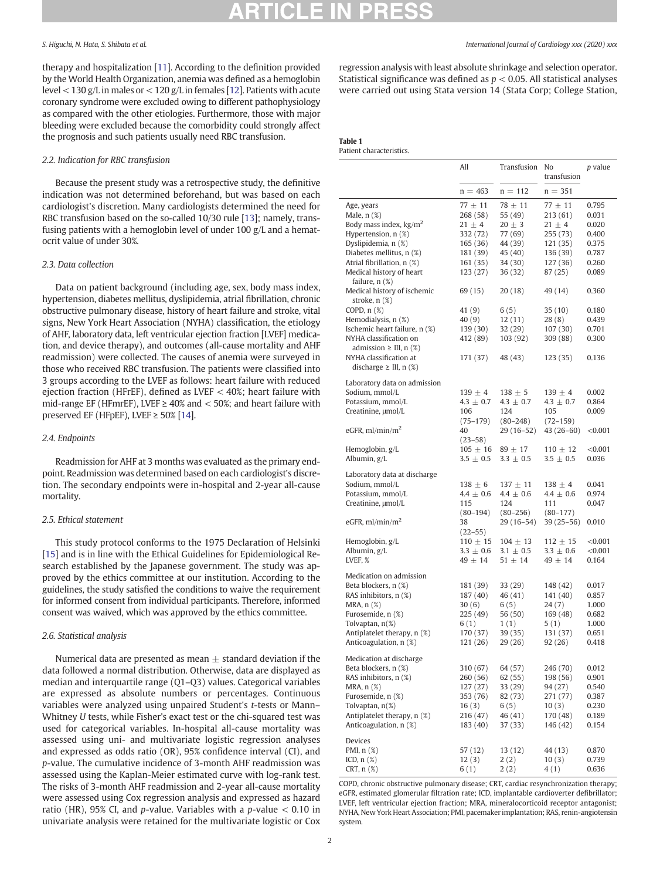<span id="page-1-0"></span>therapy and hospitalization [\[11](#page-4-0)]. According to the definition provided by the World Health Organization, anemia was defined as a hemoglobin level < 130 g/L in males or < 120 g/L in females [\[12](#page-4-0)]. Patients with acute coronary syndrome were excluded owing to different pathophysiology as compared with the other etiologies. Furthermore, those with major bleeding were excluded because the comorbidity could strongly affect the prognosis and such patients usually need RBC transfusion.

# 2.2. Indication for RBC transfusion

Because the present study was a retrospective study, the definitive indication was not determined beforehand, but was based on each cardiologist's discretion. Many cardiologists determined the need for RBC transfusion based on the so-called 10/30 rule [[13\]](#page-5-0); namely, transfusing patients with a hemoglobin level of under 100 g/L and a hematocrit value of under 30%.

# 2.3. Data collection

Data on patient background (including age, sex, body mass index, hypertension, diabetes mellitus, dyslipidemia, atrial fibrillation, chronic obstructive pulmonary disease, history of heart failure and stroke, vital signs, New York Heart Association (NYHA) classification, the etiology of AHF, laboratory data, left ventricular ejection fraction [LVEF] medication, and device therapy), and outcomes (all-cause mortality and AHF readmission) were collected. The causes of anemia were surveyed in those who received RBC transfusion. The patients were classified into 3 groups according to the LVEF as follows: heart failure with reduced ejection fraction (HFrEF), defined as LVEF  $<$  40%; heart failure with mid-range EF (HFmrEF), LVEF  $\geq$  40% and  $<$  50%; and heart failure with preserved EF (HFpEF), LVEF  $\geq 50\%$  [\[14](#page-5-0)].

### 2.4. Endpoints

Readmission for AHF at 3 months was evaluated as the primary endpoint. Readmission was determined based on each cardiologist's discretion. The secondary endpoints were in-hospital and 2-year all-cause mortality.

### 2.5. Ethical statement

This study protocol conforms to the 1975 Declaration of Helsinki [[15](#page-5-0)] and is in line with the Ethical Guidelines for Epidemiological Research established by the Japanese government. The study was approved by the ethics committee at our institution. According to the guidelines, the study satisfied the conditions to waive the requirement for informed consent from individual participants. Therefore, informed consent was waived, which was approved by the ethics committee.

# 2.6. Statistical analysis

Numerical data are presented as mean  $\pm$  standard deviation if the data followed a normal distribution. Otherwise, data are displayed as median and interquartile range (Q1–Q3) values. Categorical variables are expressed as absolute numbers or percentages. Continuous variables were analyzed using unpaired Student's t-tests or Mann– Whitney U tests, while Fisher's exact test or the chi-squared test was used for categorical variables. In-hospital all-cause mortality was assessed using uni- and multivariate logistic regression analyses and expressed as odds ratio (OR), 95% confidence interval (CI), and p-value. The cumulative incidence of 3-month AHF readmission was assessed using the Kaplan-Meier estimated curve with log-rank test. The risks of 3-month AHF readmission and 2-year all-cause mortality were assessed using Cox regression analysis and expressed as hazard ratio (HR), 95% CI, and p-value. Variables with a p-value  $< 0.10$  in univariate analysis were retained for the multivariate logistic or Cox regression analysis with least absolute shrinkage and selection operator. Statistical significance was defined as  $p < 0.05$ . All statistical analyses were carried out using Stata version 14 (Stata Corp; College Station,

# Table 1

Patient characteristics.

|                                                       | All                     | Transfusion            | No<br>transfusion       | <i>p</i> value |
|-------------------------------------------------------|-------------------------|------------------------|-------------------------|----------------|
|                                                       | $n = 463$               | $n = 112$              | $n = 351$               |                |
|                                                       |                         |                        |                         |                |
| Age, years<br>Male, $n$ $(\%)$                        | $77 \pm 11$<br>268 (58) | $78 \pm 11$<br>55 (49) | $77 \pm 11$<br>213 (61) | 0.795<br>0.031 |
| Body mass index, $\text{kg/m}^2$                      | $21 \pm 4$              | $20 \pm 3$             | $21 \pm 4$              | 0.020          |
| Hypertension, n (%)                                   | 332 (72)                | 77 (69)                | 255 (73)                | 0.400          |
| Dyslipidemia, n (%)                                   | 165 (36)                | 44 (39)                | 121 (35)                | 0.375          |
| Diabetes mellitus, n (%)                              | 181 (39)                | 45 (40)                | 136 (39)                | 0.787          |
| Atrial fibrillation, n (%)                            | 161(35)                 | 34 (30)                | 127 (36)                | 0.260          |
| Medical history of heart<br>failure, $n$ $(\%)$       | 123 (27)                | 36 (32)                | 87 (25)                 | 0.089          |
| Medical history of ischemic<br>stroke, $n$ $(\%)$     | 69 (15)                 | 20 (18)                | 49 (14)                 | 0.360          |
| COPD, $n$ $(\%)$                                      | 41 (9)                  | 6(5)                   | 35(10)                  | 0.180          |
| Hemodialysis, n (%)                                   | 40(9)                   | 12(11)                 | 28(8)                   | 0.439          |
| Ischemic heart failure, n (%)                         | 139 (30)                | 32 (29)                | 107(30)                 | 0.701          |
| NYHA classification on                                | 412 (89)                | 103 (92)               | 309 (88)                | 0.300          |
| admission $\geq$ III, n $(\%)$                        |                         |                        |                         |                |
| NYHA classification at<br>discharge $\geq$ III, n (%) | 171 (37)                | 48 (43)                | 123 (35)                | 0.136          |
| Laboratory data on admission                          |                         |                        |                         |                |
| Sodium, mmol/L                                        | $139 \pm 4$             | $138 \pm 5$            | $139 \pm 4$             | 0.002          |
| Potassium, mmol/L                                     | $4.3 \pm 0.7$           | $4.3 \pm 0.7$          | $4.3 \pm 0.7$           | 0.864          |
| Creatinine, µmol/L                                    | 106                     | 124                    | 105                     | 0.009          |
|                                                       | $(75 - 179)$            | $(80 - 248)$           | $(72 - 159)$            |                |
| eGFR, $ml/min/m2$                                     | 40<br>$(23 - 58)$       | 29 (16–52)             | 43 (26–60)              | < 0.001        |
| Hemoglobin, g/L                                       | $105 \pm 16$            | $89 \pm 17$            | $110 \pm 12$            | < 0.001        |
| Albumin, g/L                                          | $3.5 \pm 0.5$           | $3.3 \pm 0.5$          | $3.5 \pm 0.5$           | 0.036          |
| Laboratory data at discharge                          |                         |                        |                         |                |
| Sodium, mmol/L                                        | $138 \pm 6$             | $137 \pm 11$           | $138 \pm 4$             | 0.041          |
| Potassium, mmol/L                                     | $4.4 \pm 0.6$           | $4.4 \pm 0.6$          | $4.4 \pm 0.6$           | 0.974          |
| Creatinine, µmol/L                                    | 115                     | 124                    | 111                     | 0.047          |
|                                                       | $(80 - 194)$            | $(80 - 256)$           | $(80 - 177)$            |                |
| eGFR, $ml/min/m2$                                     | 38<br>$(22 - 55)$       | 29 (16–54)             | $39(25-56)$             | 0.010          |
| Hemoglobin, g/L                                       | $110 \pm 15$            | $104 \pm 13$           | $112 \pm 15$            | $<$ 0.001      |
| Albumin, g/L                                          | $3.3 \pm 0.6$           | $3.1 \pm 0.5$          | $3.3 \pm 0.6$           | < 0.001        |
| LVEF, %                                               | $49 \pm 14$             | $51 \pm 14$            | $49 \pm 14$             | 0.164          |
|                                                       |                         |                        |                         |                |
| Medication on admission                               |                         |                        |                         |                |
| Beta blockers, n (%)                                  | 181 (39)                | 33 (29)                | 148 (42)                | 0.017          |
| RAS inhibitors, n (%)                                 | 187 (40)                | 46 (41)                | 141 (40)                | 0.857          |
| MRA, n (%)                                            | 30(6)                   | 6 (5)                  | 24 (7)                  | 1.000          |
| Furosemide, n (%)                                     | 225 (49)                | 56 (50)                | 169 (48)                | 0.682          |
| Tolvaptan, n(%)                                       | 6 (1)                   | 1(1)                   | 5(1)                    | 1.000          |
| Antiplatelet therapy, n (%)                           | 170 (37)                | 39 (35)                | 131 (37)                | 0.651          |
| Anticoagulation, n (%)                                | 121 (26)                | 29 (26)                | 92 (26)                 | 0.418          |
| Medication at discharge                               |                         |                        |                         |                |
| Beta blockers, n (%)                                  | 310 (67)                | 64 (57)                | 246 (70)                | 0.012          |
| RAS inhibitors, n (%)                                 | 260 (56)                | 62 (55)                | 198 (56)                | 0.901          |
| MRA, $n$ $(\%)$                                       | 127 (27)                | 33 (29)                | 94 (27)                 | 0.540          |
| Furosemide, n (%)                                     | 353 (76)                | 82 (73)                | 271 (77)                | 0.387          |
| Tolvaptan, n(%)                                       | 16(3)                   | 6(5)                   | 10(3)                   | 0.230          |
| Antiplatelet therapy, n (%)                           | 216 (47)                | 46 (41)                | 170 (48)                | 0.189          |
| Anticoagulation, n (%)                                | 183 (40)                | 37 (33)                | 146 (42)                | 0.154          |
|                                                       |                         |                        |                         |                |
| Devices<br>PMI, n (%)                                 | 57 (12)                 | 13 (12)                | 44 (13)                 |                |
| ICD, $n$ $(\%)$                                       | 12(3)                   | 2(2)                   | 10(3)                   | 0.870<br>0.739 |
| CRT, n (%)                                            | 6(1)                    | 2(2)                   | 4 (1)                   | 0.636          |

COPD, chronic obstructive pulmonary disease; CRT, cardiac resynchronization therapy; eGFR, estimated glomerular filtration rate; ICD, implantable cardioverter defibrillator; LVEF, left ventricular ejection fraction; MRA, mineralocorticoid receptor antagonist; NYHA, New York Heart Association; PMI, pacemaker implantation; RAS, renin-angiotensin system.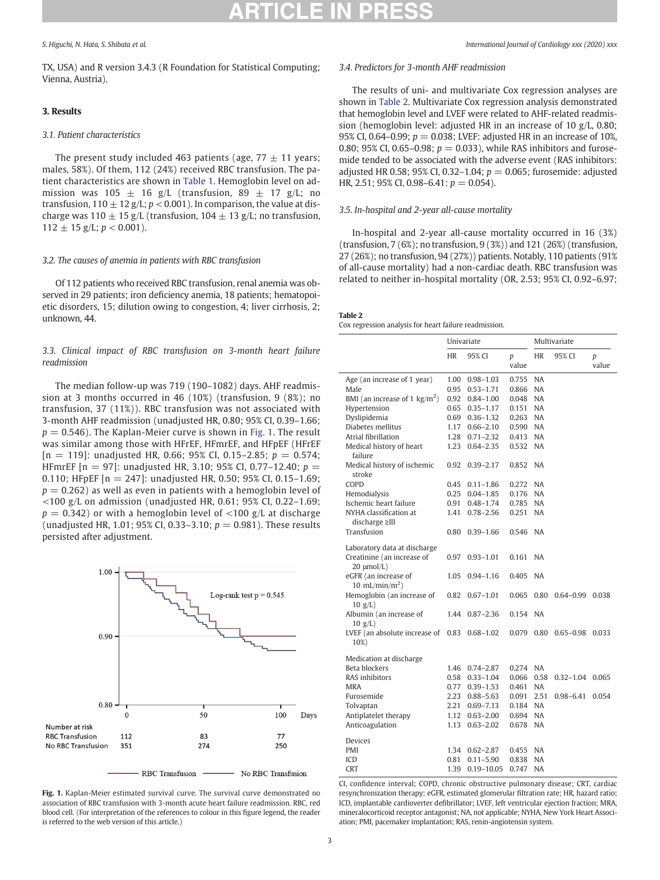TX, USA) and R version 3.4.3 (R Foundation for Statistical Computing; Vienna, Austria).

# 3. Results

# 3.1. Patient characteristics

The present study included 463 patients (age,  $77 \pm 11$  years; males, 58%). Of them, 112 (24%) received RBC transfusion. The patient characteristics are shown in [Table 1.](#page-1-0) Hemoglobin level on admission was  $105 \pm 16$  g/L (transfusion,  $89 \pm 17$  g/L; no transfusion,  $110 \pm 12$  g/L;  $p < 0.001$ ). In comparison, the value at discharge was  $110 \pm 15$  g/L (transfusion,  $104 \pm 13$  g/L; no transfusion,  $112 \pm 15$  g/L;  $p < 0.001$ ).

### 3.2. The causes of anemia in patients with RBC transfusion

Of 112 patients who received RBC transfusion, renal anemia was observed in 29 patients; iron deficiency anemia, 18 patients; hematopoietic disorders, 15; dilution owing to congestion, 4; liver cirrhosis, 2; unknown, 44.

# 3.3. Clinical impact of RBC transfusion on 3-month heart failure readmission

The median follow-up was 719 (190–1082) days. AHF readmission at 3 months occurred in 46 (10%) (transfusion, 9 (8%); no transfusion, 37 (11%)). RBC transfusion was not associated with 3-month AHF readmission (unadjusted HR, 0.80; 95% CI, 0.39–1.66;  $p = 0.546$ ). The Kaplan-Meier curve is shown in Fig. 1. The result was similar among those with HFrEF, HFmrEF, and HFpEF (HFrEF  $[n = 119]$ : unadjusted HR, 0.66; 95% CI, 0.15-2.85;  $p = 0.574$ ; HFmrEF [n = 97]: unadjusted HR, 3.10; 95% CI, 0.77-12.40;  $p =$ 0.110; HFpEF [n = 247]: unadjusted HR, 0.50; 95% CI, 0.15–1.69;  $p = 0.262$ ) as well as even in patients with a hemoglobin level of  $<$ 100 g/L on admission (unadjusted HR, 0.61; 95% CI, 0.22–1.69;  $p = 0.342$ ) or with a hemoglobin level of <100 g/L at discharge (unadjusted HR, 1.01; 95% CI, 0.33–3.10;  $p = 0.981$ ). These results persisted after adjustment.



Fig. 1. Kaplan-Meier estimated survival curve. The survival curve demonstrated no association of RBC transfusion with 3-month acute heart failure readmission. RBC, red blood cell. (For interpretation of the references to colour in this figure legend, the reader is referred to the web version of this article.)

# 3.4. Predictors for 3-month AHF readmission

The results of uni- and multivariate Cox regression analyses are shown in Table 2. Multivariate Cox regression analysis demonstrated that hemoglobin level and LVEF were related to AHF-related readmission (hemoglobin level: adjusted HR in an increase of 10 g/L, 0.80; 95% CI, 0.64–0.99;  $p = 0.038$ ; LVEF: adjusted HR in an increase of 10%, 0.80; 95% CI, 0.65-0.98;  $p = 0.033$ ), while RAS inhibitors and furosemide tended to be associated with the adverse event (RAS inhibitors: adjusted HR 0.58; 95% CI, 0.32–1.04;  $p = 0.065$ ; furosemide: adjusted HR, 2.51; 95% CI, 0.98-6.41:  $p = 0.054$ ).

# 3.5. In-hospital and 2-year all-cause mortality

In-hospital and 2-year all-cause mortality occurred in 16 (3%) (transfusion, 7 (6%); no transfusion, 9 (3%)) and 121 (26%) (transfusion, 27 (26%); no transfusion, 94 (27%)) patients. Notably, 110 patients (91% of all-cause mortality) had a non-cardiac death. RBC transfusion was related to neither in-hospital mortality (OR, 2.53; 95% CI, 0.92–6.97;

### Table 2

| Cox regression analysis for heart failure readmission. |  |  |  |
|--------------------------------------------------------|--|--|--|
|                                                        |  |  |  |

|                                                | Univariate |                      |          | Multivariate |                     |       |  |
|------------------------------------------------|------------|----------------------|----------|--------------|---------------------|-------|--|
|                                                | <b>HR</b>  | 95% CI               | p        | <b>HR</b>    | 95% CI              | p     |  |
|                                                |            |                      | value    |              |                     | value |  |
| Age (an increase of 1 year)                    | 1.00       | $0.98 - 1.03$        | 0.755    | <b>NA</b>    |                     |       |  |
| Male                                           | 0.95       | $0.53 - 1.71$        | 0.866    | <b>NA</b>    |                     |       |  |
| BMI (an increase of 1 $\text{kg/m}^2$ )        |            | 0.92  0.84-1.00      | 0.048    | <b>NA</b>    |                     |       |  |
| Hypertension                                   |            | $0.65$ $0.35-1.17$   | 0.151    | <b>NA</b>    |                     |       |  |
| Dyslipidemia                                   |            | 0.69 0.36-1.32       | 0.263    | <b>NA</b>    |                     |       |  |
| Diabetes mellitus                              |            | 1.17 0.66-2.10       | 0.590 NA |              |                     |       |  |
| Atrial fibrillation                            | 1.28       | $0.71 - 2.32$        | 0.413    | <b>NA</b>    |                     |       |  |
| Medical history of heart                       | 1.23       | $0.64 - 2.35$        | 0.532    | <b>NA</b>    |                     |       |  |
| failure                                        |            |                      |          | <b>NA</b>    |                     |       |  |
| Medical history of ischemic<br>stroke          | 0.92       | $0.39 - 2.17$        | 0.852    |              |                     |       |  |
| COPD                                           |            | $0.45$ $0.11 - 1.86$ | 0.272    | <b>NA</b>    |                     |       |  |
| Hemodialysis                                   |            | $0.25$ $0.04-1.85$   | 0.176 NA |              |                     |       |  |
| Ischemic heart failure                         |            | 0.91  0.48-1.74      | 0.785    | <b>NA</b>    |                     |       |  |
| NYHA classification at                         | 1.41       | $0.78 - 2.56$        | 0.251    | <b>NA</b>    |                     |       |  |
| $discharge \geq III$                           |            |                      |          |              |                     |       |  |
| Transfusion                                    | $0.80\,$   | $0.39 - 1.66$        | 0.546    | NA           |                     |       |  |
| Laboratory data at discharge                   |            |                      |          |              |                     |       |  |
| Creatinine (an increase of                     | 0.97       | $0.93 - 1.01$        | 0.161    | <b>NA</b>    |                     |       |  |
| $20 \mu mol/L$                                 |            |                      |          |              |                     |       |  |
| eGFR (an increase of                           | 1.05       | $0.94 - 1.16$        | 0.405    | <b>NA</b>    |                     |       |  |
| 10 mL/min/m <sup>2</sup> )                     |            |                      |          |              |                     |       |  |
| Hemoglobin (an increase of                     | 0.82       | $0.67 - 1.01$        | 0.065    | 0.80         | $0.64 - 0.99$ 0.038 |       |  |
| 10 g/L                                         |            |                      |          |              |                     |       |  |
| Albumin (an increase of                        | 1.44       | $0.87 - 2.36$        | 0.154    | <b>NA</b>    |                     |       |  |
| 10 g/L                                         |            |                      |          |              |                     |       |  |
| LVEF (an absolute increase of $0.83$ 0.68-1.02 |            |                      | 0.079    | 0.80         | $0.65 - 0.98$       | 0.033 |  |
| 10%)                                           |            |                      |          |              |                     |       |  |
| Medication at discharge                        |            |                      |          |              |                     |       |  |
| Beta blockers                                  |            | 1.46 0.74-2.87       | 0.274 NA |              |                     |       |  |
| RAS inhibitors                                 |            | 0.58 0.33-1.04       | 0.066    | 0.58         | $0.32 - 1.04$       | 0.065 |  |
| <b>MRA</b>                                     |            | 0.77 0.39-1.53       | 0.461    | <b>NA</b>    |                     |       |  |
| Furosemide                                     |            | 2.23 0.88-5.63       | 0.091    | 2.51         | $0.98 - 6.41$       | 0.054 |  |
| Tolvaptan                                      |            | 2.21 0.69-7.13       | 0.184 NA |              |                     |       |  |
| Antiplatelet therapy                           |            | 1.12 0.63-2.00       | 0.694 NA |              |                     |       |  |
| Anticoagulation                                | 1.13       | $0.63 - 2.02$        | 0.678    | <b>NA</b>    |                     |       |  |
| Devices                                        |            |                      |          |              |                     |       |  |
| PMI                                            | 1.34       | $0.62 - 2.87$        | 0.455    | <b>NA</b>    |                     |       |  |
| ICD                                            | 0.81       | $0.11 - 5.90$        | 0.838    | <b>NA</b>    |                     |       |  |
| <b>CRT</b>                                     | 1.39       | $0.19 - 10.05$       | 0.747    | <b>NA</b>    |                     |       |  |
|                                                |            |                      |          |              |                     |       |  |

CI, confidence interval; COPD, chronic obstructive pulmonary disease; CRT, cardiac resynchronization therapy; eGFR, estimated glomerular filtration rate; HR, hazard ratio; ICD, implantable cardioverter defibrillator; LVEF, left ventricular ejection fraction; MRA, mineralocorticoid receptor antagonist; NA, not applicable; NYHA, New York Heart Association; PMI, pacemaker implantation; RAS, renin-angiotensin system.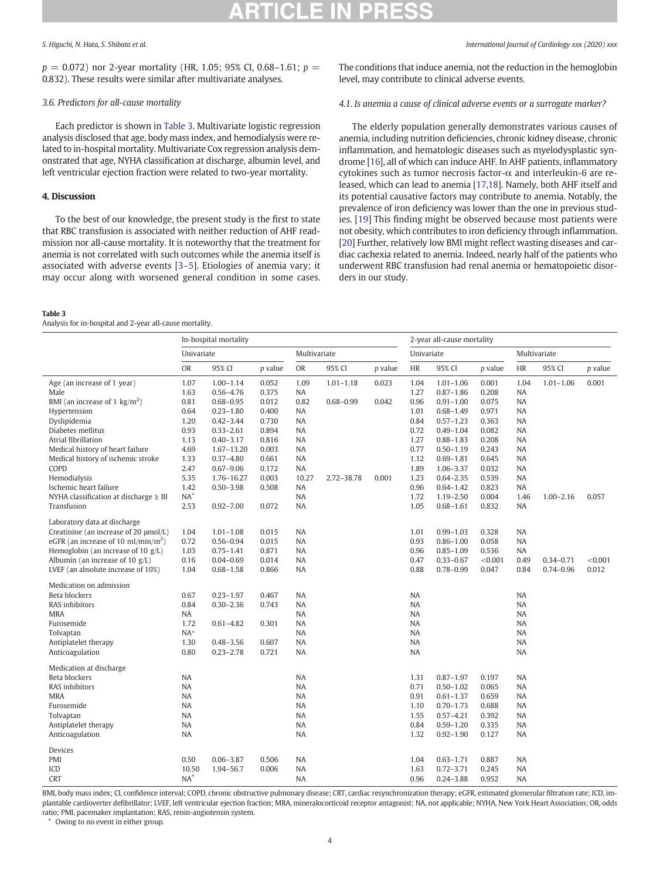$p = 0.072$ ) nor 2-year mortality (HR, 1.05; 95% CI, 0.68–1.61;  $p =$ 0.832). These results were similar after multivariate analyses.

# 3.6. Predictors for all-cause mortality

Each predictor is shown in Table 3. Multivariate logistic regression analysis disclosed that age, body mass index, and hemodialysis were related to in-hospital mortality. Multivariate Cox regression analysis demonstrated that age, NYHA classification at discharge, albumin level, and left ventricular ejection fraction were related to two-year mortality.

# 4. Discussion

To the best of our knowledge, the present study is the first to state that RBC transfusion is associated with neither reduction of AHF readmission nor all-cause mortality. It is noteworthy that the treatment for anemia is not correlated with such outcomes while the anemia itself is associated with adverse events [3–[5\]](#page-4-0). Etiologies of anemia vary; it may occur along with worsened general condition in some cases.

### Table 3

Analysis for in-hospital and 2-year all-cause mortality.

S. Higuchi, N. Hata, S. Shibata et al. International Journal of Cardiology xxx (2020) xxx

The conditions that induce anemia, not the reduction in the hemoglobin level, may contribute to clinical adverse events.

# 4.1. Is anemia a cause of clinical adverse events or a surrogate marker?

The elderly population generally demonstrates various causes of anemia, including nutrition deficiencies, chronic kidney disease, chronic inflammation, and hematologic diseases such as myelodysplastic syndrome [\[16\]](#page-5-0), all of which can induce AHF. In AHF patients, inflammatory cytokines such as tumor necrosis factor-α and interleukin-6 are released, which can lead to anemia [[17,18\]](#page-5-0). Namely, both AHF itself and its potential causative factors may contribute to anemia. Notably, the prevalence of iron deficiency was lower than the one in previous studies. [\[19](#page-5-0)] This finding might be observed because most patients were not obesity, which contributes to iron deficiency through inflammation. [[20\]](#page-5-0) Further, relatively low BMI might reflect wasting diseases and cardiac cachexia related to anemia. Indeed, nearly half of the patients who underwent RBC transfusion had renal anemia or hematopoietic disorders in our study.

|                                                 | In-hospital mortality |                |                |           |               | 2-year all-cause mortality |           |               |              |           |               |                |
|-------------------------------------------------|-----------------------|----------------|----------------|-----------|---------------|----------------------------|-----------|---------------|--------------|-----------|---------------|----------------|
|                                                 | Univariate            |                | Multivariate   |           |               | Univariate                 |           |               | Multivariate |           |               |                |
|                                                 | <b>OR</b>             | 95% CI         | <i>p</i> value | <b>OR</b> | 95% CI        | <i>p</i> value             | HR        | 95% CI        | $p$ value    | HR        | 95% CI        | <i>p</i> value |
| Age (an increase of 1 year)                     | 1.07                  | $1.00 - 1.14$  | 0.052          | 1.09      | $1.01 - 1.18$ | 0.023                      | 1.04      | $1.01 - 1.06$ | 0.001        | 1.04      | $1.01 - 1.06$ | 0.001          |
| Male                                            | 1.63                  | $0.56 - 4.76$  | 0.375          | NA        |               |                            | 1.27      | $0.87 - 1.86$ | 0.208        | <b>NA</b> |               |                |
| BMI (an increase of 1 $\text{kg/m}^2$ )         | 0.81                  | $0.68 - 0.95$  | 0.012          | 0.82      | $0.68 - 0.99$ | 0.042                      | 0.96      | $0.91 - 1.00$ | 0.075        | <b>NA</b> |               |                |
| Hypertension                                    | 0.64                  | $0.23 - 1.80$  | 0.400          | NA        |               |                            | 1.01      | $0.68 - 1.49$ | 0.971        | <b>NA</b> |               |                |
| Dyslipidemia                                    | 1.20                  | $0.42 - 3.44$  | 0.730          | NA        |               |                            | 0.84      | $0.57 - 1.23$ | 0.363        | <b>NA</b> |               |                |
| Diabetes mellitus                               | 0.93                  | $0.33 - 2.61$  | 0.894          | <b>NA</b> |               |                            | 0.72      | $0.49 - 1.04$ | 0.082        | <b>NA</b> |               |                |
| Atrial fibrillation                             | 1.13                  | $0.40 - 3.17$  | 0.816          | <b>NA</b> |               |                            | 1.27      | $0.88 - 1.83$ | 0.208        | NA        |               |                |
| Medical history of heart failure                | 4.69                  | $1.67 - 13.20$ | 0.003          | <b>NA</b> |               |                            | 0.77      | $0.50 - 1.19$ | 0.243        | NA        |               |                |
| Medical history of ischemic stroke              | 1.33                  | $0.37 - 4.80$  | 0.661          | <b>NA</b> |               |                            | 1.12      | $0.69 - 1.81$ | 0.645        | <b>NA</b> |               |                |
| COPD                                            | 2.47                  | $0.67 - 9.06$  | 0.172          | NA        |               |                            | 1.89      | 1.06-3.37     | 0.032        | <b>NA</b> |               |                |
| Hemodialysis                                    | 5.35                  | 1.76-16.27     | 0.003          | 10.27     | 2.72-38.78    | 0.001                      | 1.23      | $0.64 - 2.35$ | 0.539        | <b>NA</b> |               |                |
| Ischemic heart failure                          | 1.42                  | $0.50 - 3.98$  | 0.508          | NA        |               |                            | 0.96      | $0.64 - 1.42$ | 0.823        | <b>NA</b> |               |                |
| NYHA classification at discharge $\geq$ III     | $NA^*$                |                |                | <b>NA</b> |               |                            | 1.72      | $1.19 - 2.50$ | 0.004        | 1.46      | $1.00 - 2.16$ | 0.057          |
| Transfusion                                     | 2.53                  | $0.92 - 7.00$  | 0.072          | <b>NA</b> |               |                            | 1.05      | $0.68 - 1.61$ | 0.832        | <b>NA</b> |               |                |
| Laboratory data at discharge                    |                       |                |                |           |               |                            |           |               |              |           |               |                |
| Creatinine (an increase of 20 µmol/L)           | 1.04                  | $1.01 - 1.08$  | 0.015          | NA        |               |                            | 1.01      | $0.99 - 1.03$ | 0.328        | <b>NA</b> |               |                |
| eGFR (an increase of 10 ml/min/m <sup>2</sup> ) | 0.72                  | $0.56 - 0.94$  | 0.015          | <b>NA</b> |               |                            | 0.93      | $0.86 - 1.00$ | 0.058        | <b>NA</b> |               |                |
| Hemoglobin (an increase of 10 $g/L$ )           | 1.03                  | $0.75 - 1.41$  | 0.871          | NA        |               |                            | 0.96      | $0.85 - 1.09$ | 0.536        | NA.       |               |                |
| Albumin (an increase of 10 $g/L$ )              | 0.16                  | $0.04 - 0.69$  | 0.014          | <b>NA</b> |               |                            | 0.47      | $0.33 - 0.67$ | < 0.001      | 0.49      | $0.34 - 0.71$ | < 0.001        |
| LVEF (an absolute increase of 10%)              | 1.04                  | $0.68 - 1.58$  | 0.866          | <b>NA</b> |               |                            | 0.88      | $0.78 - 0.99$ | 0.047        | 0.84      | $0.74 - 0.96$ | 0.012          |
| Medication on admission                         |                       |                |                |           |               |                            |           |               |              |           |               |                |
| Beta blockers                                   | 0.67                  | $0.23 - 1.97$  | 0.467          | <b>NA</b> |               |                            | NA        |               |              | <b>NA</b> |               |                |
| RAS inhibitors                                  | 0.84                  | $0.30 - 2.36$  | 0.743          | <b>NA</b> |               |                            | <b>NA</b> |               |              | <b>NA</b> |               |                |
| <b>MRA</b>                                      | NA                    |                |                | NA        |               |                            | NA        |               |              | <b>NA</b> |               |                |
| Furosemide                                      | 1.72                  | $0.61 - 4.82$  | 0.301          | NA        |               |                            | NA        |               |              | <b>NA</b> |               |                |
| Tolvaptan                                       | $NA*$                 |                |                | <b>NA</b> |               |                            | <b>NA</b> |               |              | <b>NA</b> |               |                |
| Antiplatelet therapy                            | 1.30                  | $0.48 - 3.56$  | 0.607          | <b>NA</b> |               |                            | <b>NA</b> |               |              | <b>NA</b> |               |                |
| Anticoagulation                                 | 0.80                  | $0.23 - 2.78$  | 0.721          | <b>NA</b> |               |                            | <b>NA</b> |               |              | <b>NA</b> |               |                |
| Medication at discharge                         |                       |                |                |           |               |                            |           |               |              |           |               |                |
| Beta blockers                                   | NA                    |                |                | <b>NA</b> |               |                            | 1.31      | $0.87 - 1.97$ | 0.197        | <b>NA</b> |               |                |
| RAS inhibitors                                  | NA                    |                |                | <b>NA</b> |               |                            | 0.71      | $0.50 - 1.02$ | 0.065        | <b>NA</b> |               |                |
| <b>MRA</b>                                      | NA                    |                |                | <b>NA</b> |               |                            | 0.91      | $0.61 - 1.37$ | 0.659        | NA        |               |                |
| Furosemide                                      | NA                    |                |                | <b>NA</b> |               |                            | 1.10      | $0.70 - 1.73$ | 0.688        | <b>NA</b> |               |                |
| Tolvaptan                                       | <b>NA</b>             |                |                | <b>NA</b> |               |                            | 1.55      | $0.57 - 4.21$ | 0.392        | <b>NA</b> |               |                |
| Antiplatelet therapy                            | NA                    |                |                | <b>NA</b> |               |                            | 0.84      | $0.59 - 1.20$ | 0.335        | <b>NA</b> |               |                |
| Anticoagulation                                 | <b>NA</b>             |                |                | <b>NA</b> |               |                            | 1.32      | $0.92 - 1.90$ | 0.127        | <b>NA</b> |               |                |
| Devices                                         |                       |                |                |           |               |                            |           |               |              |           |               |                |
| <b>PMI</b>                                      | 0.50                  | $0.06 - 3.87$  | 0.506          | <b>NA</b> |               |                            | 1.04      | $0.63 - 1.71$ | 0.887        | <b>NA</b> |               |                |
| ICD                                             | 10.50                 | 1.94-56.7      | 0.006          | <b>NA</b> |               |                            | 1.63      | $0.72 - 3.71$ | 0.245        | <b>NA</b> |               |                |
| <b>CRT</b>                                      | $NA^*$                |                |                | <b>NA</b> |               |                            | 0.96      | $0.24 - 3.88$ | 0.952        | <b>NA</b> |               |                |

BMI, body mass index; CI, confidence interval; COPD, chronic obstructive pulmonary disease; CRT, cardiac resynchronization therapy; eGFR, estimated glomerular filtration rate; ICD, implantable cardioverter defibrillator; LVEF, left ventricular ejection fraction; MRA, mineralocorticoid receptor antagonist; NA, not applicable; NYHA, New York Heart Association; OR, odds ratio; PMI, pacemaker implantation; RAS, renin-angiotensin system.

⁎ Owing to no event in either group.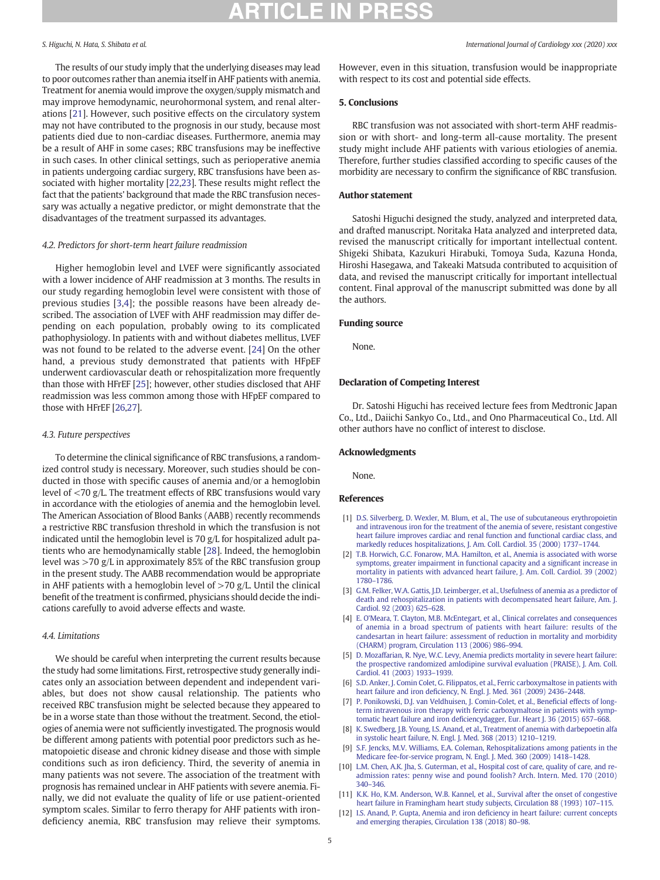<span id="page-4-0"></span>The results of our study imply that the underlying diseases may lead to poor outcomes rather than anemia itself in AHF patients with anemia. Treatment for anemia would improve the oxygen/supply mismatch and may improve hemodynamic, neurohormonal system, and renal alterations [[21\]](#page-5-0). However, such positive effects on the circulatory system may not have contributed to the prognosis in our study, because most patients died due to non-cardiac diseases. Furthermore, anemia may be a result of AHF in some cases; RBC transfusions may be ineffective in such cases. In other clinical settings, such as perioperative anemia in patients undergoing cardiac surgery, RBC transfusions have been associated with higher mortality [[22,23\]](#page-5-0). These results might reflect the fact that the patients' background that made the RBC transfusion necessary was actually a negative predictor, or might demonstrate that the disadvantages of the treatment surpassed its advantages.

### 4.2. Predictors for short-term heart failure readmission

Higher hemoglobin level and LVEF were significantly associated with a lower incidence of AHF readmission at 3 months. The results in our study regarding hemoglobin level were consistent with those of previous studies [3,4]; the possible reasons have been already described. The association of LVEF with AHF readmission may differ depending on each population, probably owing to its complicated pathophysiology. In patients with and without diabetes mellitus, LVEF was not found to be related to the adverse event. [\[24](#page-5-0)] On the other hand, a previous study demonstrated that patients with HFpEF underwent cardiovascular death or rehospitalization more frequently than those with HFrEF [[25\]](#page-5-0); however, other studies disclosed that AHF readmission was less common among those with HFpEF compared to those with HFrEF [\[26,27\]](#page-5-0).

# 4.3. Future perspectives

To determine the clinical significance of RBC transfusions, a randomized control study is necessary. Moreover, such studies should be conducted in those with specific causes of anemia and/or a hemoglobin level of <70 g/L. The treatment effects of RBC transfusions would vary in accordance with the etiologies of anemia and the hemoglobin level. The American Association of Blood Banks (AABB) recently recommends a restrictive RBC transfusion threshold in which the transfusion is not indicated until the hemoglobin level is 70 g/L for hospitalized adult patients who are hemodynamically stable [[28\]](#page-5-0). Indeed, the hemoglobin level was >70 g/L in approximately 85% of the RBC transfusion group in the present study. The AABB recommendation would be appropriate in AHF patients with a hemoglobin level of  $>70$  g/L. Until the clinical benefit of the treatment is confirmed, physicians should decide the indications carefully to avoid adverse effects and waste.

# 4.4. Limitations

We should be careful when interpreting the current results because the study had some limitations. First, retrospective study generally indicates only an association between dependent and independent variables, but does not show causal relationship. The patients who received RBC transfusion might be selected because they appeared to be in a worse state than those without the treatment. Second, the etiologies of anemia were not sufficiently investigated. The prognosis would be different among patients with potential poor predictors such as hematopoietic disease and chronic kidney disease and those with simple conditions such as iron deficiency. Third, the severity of anemia in many patients was not severe. The association of the treatment with prognosis has remained unclear in AHF patients with severe anemia. Finally, we did not evaluate the quality of life or use patient-oriented symptom scales. Similar to ferro therapy for AHF patients with irondeficiency anemia, RBC transfusion may relieve their symptoms.

However, even in this situation, transfusion would be inappropriate with respect to its cost and potential side effects.

# 5. Conclusions

RBC transfusion was not associated with short-term AHF readmission or with short- and long-term all-cause mortality. The present study might include AHF patients with various etiologies of anemia. Therefore, further studies classified according to specific causes of the morbidity are necessary to confirm the significance of RBC transfusion.

### Author statement

Satoshi Higuchi designed the study, analyzed and interpreted data, and drafted manuscript. Noritaka Hata analyzed and interpreted data, revised the manuscript critically for important intellectual content. Shigeki Shibata, Kazukuri Hirabuki, Tomoya Suda, Kazuna Honda, Hiroshi Hasegawa, and Takeaki Matsuda contributed to acquisition of data, and revised the manuscript critically for important intellectual content. Final approval of the manuscript submitted was done by all the authors.

# Funding source

None.

# Declaration of Competing Interest

Dr. Satoshi Higuchi has received lecture fees from Medtronic Japan Co., Ltd., Daiichi Sankyo Co., Ltd., and Ono Pharmaceutical Co., Ltd. All other authors have no conflict of interest to disclose.

# Acknowledgments

None.

References

- [1] [D.S. Silverberg, D. Wexler, M. Blum, et al., The use of subcutaneous erythropoietin](http://refhub.elsevier.com/S0167-5273(20)33809-2/rf0005) [and intravenous iron for the treatment of the anemia of severe, resistant congestive](http://refhub.elsevier.com/S0167-5273(20)33809-2/rf0005) [heart failure improves cardiac and renal function and functional cardiac class, and](http://refhub.elsevier.com/S0167-5273(20)33809-2/rf0005) [markedly reduces hospitalizations, J. Am. Coll. Cardiol. 35 \(2000\) 1737](http://refhub.elsevier.com/S0167-5273(20)33809-2/rf0005)–1744.
- [2] [T.B. Horwich, G.C. Fonarow, M.A. Hamilton, et al., Anemia is associated with worse](http://refhub.elsevier.com/S0167-5273(20)33809-2/rf0010) [symptoms, greater impairment in functional capacity and a signi](http://refhub.elsevier.com/S0167-5273(20)33809-2/rf0010)ficant increase in [mortality in patients with advanced heart failure, J. Am. Coll. Cardiol. 39 \(2002\)](http://refhub.elsevier.com/S0167-5273(20)33809-2/rf0010) 1780–[1786.](http://refhub.elsevier.com/S0167-5273(20)33809-2/rf0010)
- [3] [G.M. Felker, W.A. Gattis, J.D. Leimberger, et al., Usefulness of anemia as a predictor of](http://refhub.elsevier.com/S0167-5273(20)33809-2/rf0015) [death and rehospitalization in patients with decompensated heart failure, Am. J.](http://refhub.elsevier.com/S0167-5273(20)33809-2/rf0015) [Cardiol. 92 \(2003\) 625](http://refhub.elsevier.com/S0167-5273(20)33809-2/rf0015)–628.
- [4] E. O'[Meara, T. Clayton, M.B. McEntegart, et al., Clinical correlates and consequences](http://refhub.elsevier.com/S0167-5273(20)33809-2/rf0020) [of anemia in a broad spectrum of patients with heart failure: results of the](http://refhub.elsevier.com/S0167-5273(20)33809-2/rf0020) [candesartan in heart failure: assessment of reduction in mortality and morbidity](http://refhub.elsevier.com/S0167-5273(20)33809-2/rf0020) [\(CHARM\) program, Circulation 113 \(2006\) 986](http://refhub.elsevier.com/S0167-5273(20)33809-2/rf0020)–994.
- [5] [D. Mozaffarian, R. Nye, W.C. Levy, Anemia predicts mortality in severe heart failure:](http://refhub.elsevier.com/S0167-5273(20)33809-2/rf0025) [the prospective randomized amlodipine survival evaluation \(PRAISE\), J. Am. Coll.](http://refhub.elsevier.com/S0167-5273(20)33809-2/rf0025) [Cardiol. 41 \(2003\) 1933](http://refhub.elsevier.com/S0167-5273(20)33809-2/rf0025)–1939.
- [6] [S.D. Anker, J. Comin Colet, G. Filippatos, et al., Ferric carboxymaltose in patients with](http://refhub.elsevier.com/S0167-5273(20)33809-2/rf0030) heart failure and iron defi[ciency, N. Engl. J. Med. 361 \(2009\) 2436](http://refhub.elsevier.com/S0167-5273(20)33809-2/rf0030)–2448.
- [7] [P. Ponikowski, D.J. van Veldhuisen, J. Comin-Colet, et al., Bene](http://refhub.elsevier.com/S0167-5273(20)33809-2/rf0035)ficial effects of long[term intravenous iron therapy with ferric carboxymaltose in patients with symp](http://refhub.elsevier.com/S0167-5273(20)33809-2/rf0035)tomatic heart failure and iron defi[ciencydagger, Eur. Heart J. 36 \(2015\) 657](http://refhub.elsevier.com/S0167-5273(20)33809-2/rf0035)–668.
- [8] [K. Swedberg, J.B. Young, I.S. Anand, et al., Treatment of anemia with darbepoetin alfa](http://refhub.elsevier.com/S0167-5273(20)33809-2/rf0040) [in systolic heart failure, N. Engl. J. Med. 368 \(2013\) 1210](http://refhub.elsevier.com/S0167-5273(20)33809-2/rf0040)–1219.
- [9] [S.F. Jencks, M.V. Williams, E.A. Coleman, Rehospitalizations among patients in the](http://refhub.elsevier.com/S0167-5273(20)33809-2/rf0045) [Medicare fee-for-service program, N. Engl. J. Med. 360 \(2009\) 1418](http://refhub.elsevier.com/S0167-5273(20)33809-2/rf0045)–1428.
- [10] [L.M. Chen, A.K. Jha, S. Guterman, et al., Hospital cost of care, quality of care, and re](http://refhub.elsevier.com/S0167-5273(20)33809-2/rf0050)[admission rates: penny wise and pound foolish? Arch. Intern. Med. 170 \(2010\)](http://refhub.elsevier.com/S0167-5273(20)33809-2/rf0050) [340](http://refhub.elsevier.com/S0167-5273(20)33809-2/rf0050)–346.
- [11] [K.K. Ho, K.M. Anderson, W.B. Kannel, et al., Survival after the onset of congestive](http://refhub.elsevier.com/S0167-5273(20)33809-2/rf0055) [heart failure in Framingham heart study subjects, Circulation 88 \(1993\) 107](http://refhub.elsevier.com/S0167-5273(20)33809-2/rf0055)–115.
- [12] [I.S. Anand, P. Gupta, Anemia and iron de](http://refhub.elsevier.com/S0167-5273(20)33809-2/rf0060)ficiency in heart failure: current concepts [and emerging therapies, Circulation 138 \(2018\) 80](http://refhub.elsevier.com/S0167-5273(20)33809-2/rf0060)–98.